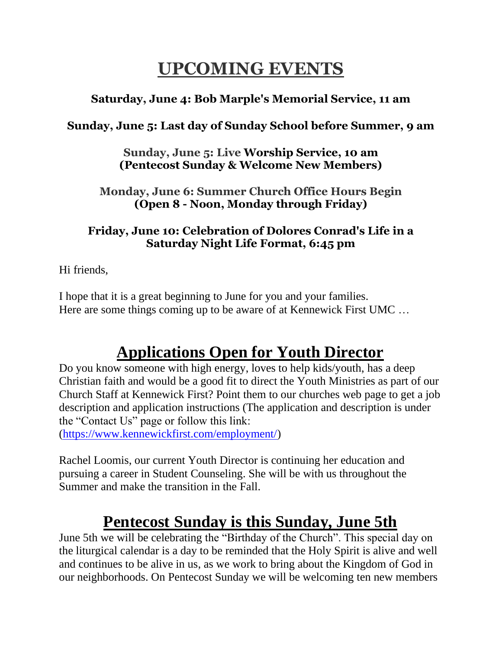## **UPCOMING EVENTS**

### **Saturday, June 4: Bob Marple's Memorial Service, 11 am**

### **Sunday, June 5: Last day of Sunday School before Summer, 9 am**

**Sunday, June 5: Live Worship Service, 10 am (Pentecost Sunday & Welcome New Members)**

**Monday, June 6: Summer Church Office Hours Begin (Open 8 - Noon, Monday through Friday)**

#### **Friday, June 10: Celebration of Dolores Conrad's Life in a Saturday Night Life Format, 6:45 pm**

Hi friends,

I hope that it is a great beginning to June for you and your families. Here are some things coming up to be aware of at Kennewick First UMC …

# **Applications Open for Youth Director**

Do you know someone with high energy, loves to help kids/youth, has a deep Christian faith and would be a good fit to direct the Youth Ministries as part of our Church Staff at Kennewick First? Point them to our churches web page to get a job description and application instructions (The application and description is under the "Contact Us" page or follow this link: [\(https://www.kennewickfirst.com/employment/\)](https://www.kennewickfirst.com/employment/)

Rachel Loomis, our current Youth Director is continuing her education and pursuing a career in Student Counseling. She will be with us throughout the Summer and make the transition in the Fall.

### **Pentecost Sunday is this Sunday, June 5th**

June 5th we will be celebrating the "Birthday of the Church". This special day on the liturgical calendar is a day to be reminded that the Holy Spirit is alive and well and continues to be alive in us, as we work to bring about the Kingdom of God in our neighborhoods. On Pentecost Sunday we will be welcoming ten new members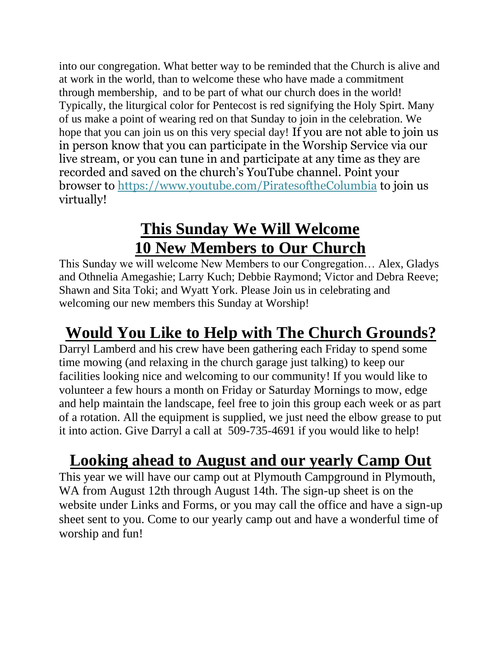into our congregation. What better way to be reminded that the Church is alive and at work in the world, than to welcome these who have made a commitment through membership, and to be part of what our church does in the world! Typically, the liturgical color for Pentecost is red signifying the Holy Spirt. Many of us make a point of wearing red on that Sunday to join in the celebration. We hope that you can join us on this very special day! If you are not able to join us in person know that you can participate in the Worship Service via our live stream, or you can tune in and participate at any time as they are recorded and saved on the church's YouTube channel. Point your browser to [https://www.youtube.com/PiratesoftheColumbia](https://www.youtube.com/user/PiratesoftheColumbia) to join us virtually!

# **This Sunday We Will Welcome 10 New Members to Our Church**

This Sunday we will welcome New Members to our Congregation… Alex, Gladys and Othnelia Amegashie; Larry Kuch; Debbie Raymond; Victor and Debra Reeve; Shawn and Sita Toki; and Wyatt York. Please Join us in celebrating and welcoming our new members this Sunday at Worship!

# **Would You Like to Help with The Church Grounds?**

Darryl Lamberd and his crew have been gathering each Friday to spend some time mowing (and relaxing in the church garage just talking) to keep our facilities looking nice and welcoming to our community! If you would like to volunteer a few hours a month on Friday or Saturday Mornings to mow, edge and help maintain the landscape, feel free to join this group each week or as part of a rotation. All the equipment is supplied, we just need the elbow grease to put it into action. Give Darryl a call at 509-735-4691 if you would like to help!

## **Looking ahead to August and our yearly Camp Out**

This year we will have our camp out at Plymouth Campground in Plymouth, WA from August 12th through August 14th. The sign-up sheet is on the website under Links and Forms, or you may call the office and have a sign-up sheet sent to you. Come to our yearly camp out and have a wonderful time of worship and fun!